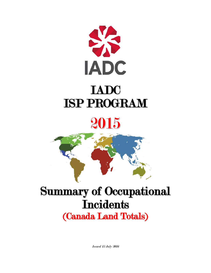



## Summary of Occupational **Incidents** (Canada Land Totals)

Issued 15 July 2016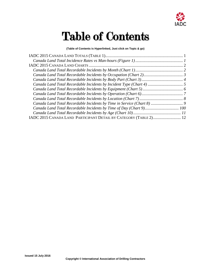

# Table of Contents

#### **(Table of Contents is Hyperlinked, Just click on Topic & go)**

| Canada Land Total Recordable Incidents by Time of Day (Chart 9) 100 |  |
|---------------------------------------------------------------------|--|
|                                                                     |  |
| IADC 2015 CANADA LAND PARTICIPANT DETAIL BY CATEGORY (TABLE 2) 12   |  |
|                                                                     |  |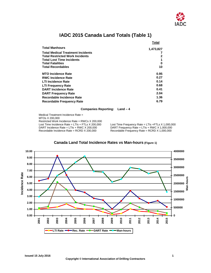

### **IADC 2015 Canada Land Totals (Table 1)**

<span id="page-2-0"></span>

|                                          | Total     |
|------------------------------------------|-----------|
| <b>Total Manhours</b>                    | 1,473,827 |
| <b>Total Medical Treatment Incidents</b> |           |
| <b>Total Restricted Work Incidents</b>   | 2         |
| <b>Total Lost Time Incidents</b>         |           |
| <b>Total Fatalities</b>                  | 0         |
| <b>Total Recordables</b>                 | 10        |
| <b>MTO Incidence Rate</b>                | 0.95      |
| <b>RWC Incidence Rate</b>                | 0.27      |
| <b>LTI Incidence Rate</b>                | 0.14      |
| <b>LTI Frequency Rate</b>                | 0.68      |
| <b>DART Incidence Rate</b>               | 0.41      |
| <b>DART Frequency Rate</b>               | 2.04      |
| Recordable Incidence Rate                | 1.36      |
| Recordable Frequency Rate                | 6.79      |

#### **Companies Reporting: Land – 4**

Medical Treatment Incidence Rate = MTOs X 200,000 Restricted Work Incidence Rate = RWCs X 200,000<br>Lost Time Incidence Rate = LTIs + FTLs X 200,000 DART Incidence Rate = LTIs + RWC X 200,000 DART Frequency Rate = LTIs + RWC X 1,000,000<br>Recordable Incidence Rate = RCRD X 200,000 Recordable Frequency Rate = RCRD X 1,000,000

Lost Time Incidence Rate = LTIs + FTLs X 200,000 Lost Time Frequency Rate = LTIs + FTLs X 1,000,000<br>DART Incidence Rate = LTIs + RWC X 200,000 DART Frequency Rate = LTIs + RWC X 1,000,000 Recordable Frequency Rate = RCRD  $X$  1,000,000

<span id="page-2-1"></span>

### **Canada Land Total Incidence Rates vs Man-hours (Figure 1)**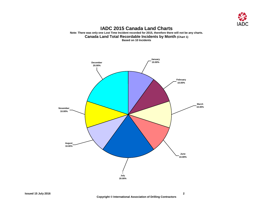

#### **IADC 2015 Canada Land Charts Note: There was only one Lost Time Incident recorded for 2015, therefore there will not be any charts. Canada Land Total Recordable Incidents by Month (Chart 1) Based on 10 Incidents**

<span id="page-3-1"></span><span id="page-3-0"></span>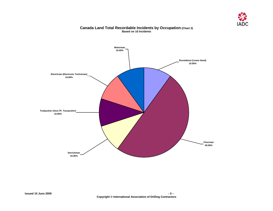

#### **Canada Land Total Recordable Incidents by Occupation (Chart 2) Based on 10 Incidents**

<span id="page-4-0"></span>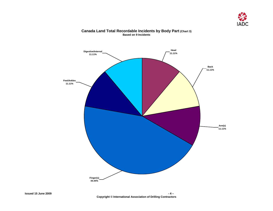

<span id="page-5-0"></span>

#### **Canada Land Total Recordable Incidents by Body Part (Chart 3) Based on 9 Incidents**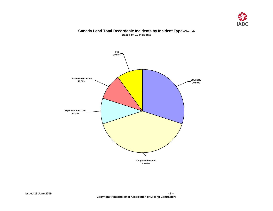

#### **Canada Land Total Recordable Incidents by Incident Type (Chart 4) Based on 10 Incidents**

<span id="page-6-0"></span>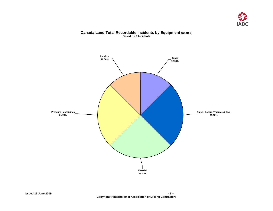

#### **Canada Land Total Recordable Incidents by Equipment (Chart 5) Based on 8 Incidents**

<span id="page-7-0"></span>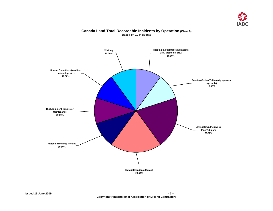

## <span id="page-8-0"></span>**Special Operations (wireline, perforating, etc.) 10.00% Rig/Equipment Repairs or Maintenance 10.00% Material Handling: Forklift 10.00% Material Handling: Manual 20.00% Running Casing/Tubing (rig up/down csg. tools) 10.00% Laying Down/Picking up Pipe/Tubulars 20.00% Tripping in/out (makeup/brakeout BHA, test tools, etc.) 10.00% Walking 10.00%**

#### **Canada Land Total Recordable Incidents by Operation (Chart 6) Based on 10 Incidents**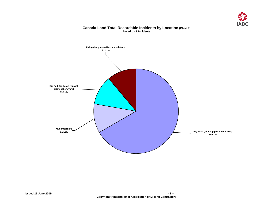

<span id="page-9-0"></span>

### **Canada Land Total Recordable Incidents by Location (Chart 7) Based on 9 Incidents**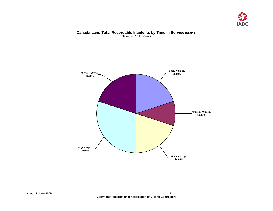

#### **Canada Land Total Recordable Incidents by Time in Service (Chart 8) Based on 10 Incidents**

<span id="page-10-0"></span>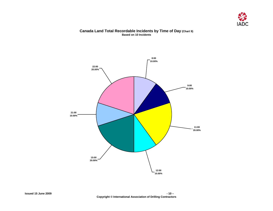

#### **Canada Land Total Recordable Incidents by Time of Day (Chart 9) Based on 10 Incidents**

<span id="page-11-0"></span>